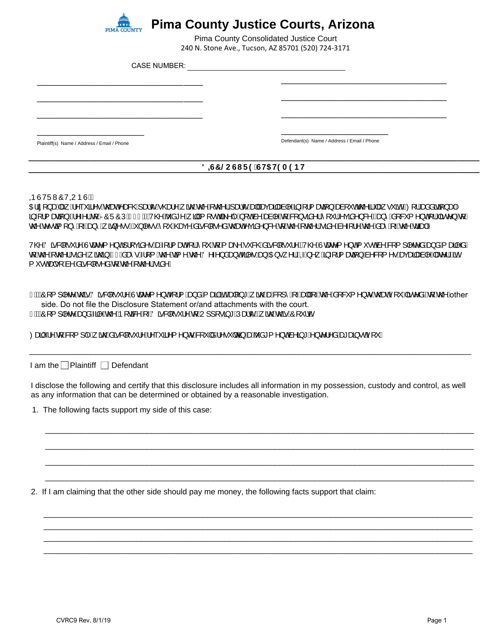

\_\_\_\_\_\_\_\_\_\_\_\_\_\_\_\_\_\_\_\_\_\_\_\_\_\_\_\_\_\_\_\_\_\_

\_\_\_\_\_\_\_\_\_\_\_\_\_\_\_\_\_\_\_\_\_\_\_\_\_\_\_\_\_\_\_\_\_\_

\_\_\_\_\_\_\_\_\_\_\_\_\_\_\_\_\_\_\_\_\_\_\_\_\_\_\_\_\_\_\_\_\_\_

## **Pima County Justice Courts, Arizona**

240 N. Stone Ave., Tucson, AZ 85701 (520) 724-3171 Pima County Consolidated Justice Court

CASE NUMBER:

Plaintiff(s) Name / Address / Email / Phone

\_\_\_\_\_\_\_\_\_\_\_\_\_\_\_\_\_\_\_\_\_\_

 $\overline{\phantom{a}}$  , where  $\overline{\phantom{a}}$  , where  $\overline{\phantom{a}}$ Defendant(s) Name / Address / Email / Phone

 $\overline{\phantom{a}}$  , where  $\overline{\phantom{a}}$  , where  $\overline{\phantom{a}}$  ,  $\overline{\phantom{a}}$  ,  $\overline{\phantom{a}}$  ,  $\overline{\phantom{a}}$  ,  $\overline{\phantom{a}}$  ,  $\overline{\phantom{a}}$  ,  $\overline{\phantom{a}}$  ,  $\overline{\phantom{a}}$  ,  $\overline{\phantom{a}}$  ,  $\overline{\phantom{a}}$  ,  $\overline{\phantom{a}}$  ,  $\overline{\phantom{a}}$  ,  $\overline{\phantom{a}}$  ,

 $\overline{\phantom{a}}$  , where  $\overline{\phantom{a}}$  , where  $\overline{\phantom{a}}$  ,  $\overline{\phantom{a}}$  ,  $\overline{\phantom{a}}$  ,  $\overline{\phantom{a}}$  ,  $\overline{\phantom{a}}$  ,  $\overline{\phantom{a}}$  ,  $\overline{\phantom{a}}$  ,  $\overline{\phantom{a}}$  ,  $\overline{\phantom{a}}$  ,  $\overline{\phantom{a}}$  ,  $\overline{\phantom{a}}$  ,  $\overline{\phantom{a}}$  ,  $\overline{\phantom{a}}$  ,

 $\overline{\phantom{a}}$  , where  $\overline{\phantom{a}}$  , where  $\overline{\phantom{a}}$  ,  $\overline{\phantom{a}}$  ,  $\overline{\phantom{a}}$  ,  $\overline{\phantom{a}}$  ,  $\overline{\phantom{a}}$  ,  $\overline{\phantom{a}}$  ,  $\overline{\phantom{a}}$  ,  $\overline{\phantom{a}}$  ,  $\overline{\phantom{a}}$  ,  $\overline{\phantom{a}}$  ,  $\overline{\phantom{a}}$  ,  $\overline{\phantom{a}}$  ,  $\overline{\phantom{a}}$  ,

## **\_\_\_\_\_\_\_\_\_\_\_\_\_\_\_\_\_\_\_\_\_\_\_\_\_\_\_\_\_\_\_\_\_\_\_\_\_\_\_\_\_\_\_\_\_\_\_\_\_\_\_\_\_\_\_\_\_\_\_\_\_\_\_\_\_\_\_\_\_\_\_\_\_\_\_\_\_\_\_\_\_\_\_\_\_\_\_\_\_\_\_\_\_\_\_\_\_\_\_\_\_\_**  $8 = G7$  @CGIF9 GH5 H9A9BH

**®ÙVÜWÔV**@JÞÙKÁ

OEã[}aeÁee; Á^~``ã^•Áo@eeÁ^ae&@Á\aekc^Á\@ee^Á\ão@Áx@^¦Á\aekc^Áee|Áeecaã{aea}|^Á§+¦{aeā}}Áeeà|`oók@^ãÁæ{•``ãběQQ'¦Áeaàåãqã}ae}Á ą̃-[¦{æqã}BÃ^-^¦Án{ARÔÜÔÚÆGFbDAV@^Aŏå\*^Á;ā|Á{[∙oÁã^|^Á}[o∜à^Åæà|^Áq{Á&{}∙ãå^¦Á`[ˇ¦Á∿çãå^}&^{Qa}^Ás[&ˇ{^}oÁ¦lÁãc^}Áq{Á c@Ác∿•cã[}^Á, Áæ)^Á, ã}^••DÁ}|^••Á[ˇÁ@æç^Ásã&|[•^åÁc@æÁçãi^}&^Á{Ác@^{Áãe^Ás^~{¦^Ác@Ásæ}Á, Ác@ÁsäæpHÁ

V@AÖã&|[•`¦^AÙœæ^{^}cÁ¦|çãå^•ÁæÁ{¦{æaÁ{¦^Á{Á{æà^Á`&@Áãã&|[•`¦^BÁ/@AÙœæ^{^}cÁ{`•cÁa^Á&{{]|^c^åÁæ}åÁ{æã|^åÁ djÁc@\ÁcaoNAjãnQAjÁn€Ásaê•Á¦{{Ác@Áca]^Ác@AÖ^~^}åæ}oÁa?^•Áæ}ÁCE+^.^¦ÉÁGÁ^ Á§ 4¦{æa∄}Ás^& {^•Áæcæa#æà|^Áæa^¦ÉánÁ { ັ●cAede>|Áa^Áaã×&||●^åÁa[Áo@^Á[c@^¦Átãa^È

FEANÔ[{]|^c^Áo@nhObā&|[•~'|^AÙcæe^{^}oA{|{Áæ}åÁ{æqāÁnāEæhe|]\*Á{ān@AeanAg{Á{-Áo@^Áa[&`{^}orÁo@eaAf[\*Ápāc^åÉatá@^Áother side. Do not file the Disclosure Statement or/and attachments with the court. GEÁÓ [{]|^c^Ána}åÁa]^Án@ÁÞ [ca]&^Á[~ÁÖaĭ&|[•`¦^Áa[ÁU]][•ā]\*ÁÚaa¦c´ÉÁ,ãn@Án@sáÓ [`¦dÈ

(Zeaã)'¦^Án{ÁS|{]|^Á,ão@Aäã&||∙`¦^Á^``ã^{^}orÁS|`|åÁ∧^∙`|cÁã{ÁœÁŏå\*{^}cÁa^ã\*Á^}c^¦^åÁæªæã∙cÁ[`È

I am the  $\Box$  Plaintiff  $\Box$  Defendant

I disclose the following and certify that this disclosure includes all information in my possession, custody and control, as well as any information that can be determined or obtained by a reasonable investigation.

\_\_\_\_\_\_\_\_\_\_\_\_\_\_\_\_\_\_\_\_\_\_\_\_\_\_\_\_\_\_\_\_\_\_\_\_\_\_\_\_\_\_\_\_\_\_\_\_\_\_\_\_\_\_\_\_\_\_\_\_\_\_\_\_\_\_\_\_\_\_\_\_\_\_\_\_\_\_\_\_\_\_\_\_\_\_\_\_\_\_\_\_\_\_\_\_\_

\_\_\_\_\_\_\_\_\_\_\_\_\_\_\_\_\_\_\_\_\_\_\_\_\_\_\_\_\_\_\_\_\_\_\_\_\_\_\_\_\_\_\_\_\_\_\_\_\_\_\_\_\_\_\_\_\_\_\_\_\_\_\_\_\_\_\_\_\_\_\_\_\_\_\_\_\_\_\_\_\_\_\_\_\_\_\_\_\_\_\_\_\_\_\_\_\_

\_\_\_\_\_\_\_\_\_\_\_\_\_\_\_\_\_\_\_\_\_\_\_\_\_\_\_\_\_\_\_\_\_\_\_\_\_\_\_\_\_\_\_\_\_\_\_\_\_\_\_\_\_\_\_\_\_\_\_\_\_\_\_\_\_\_\_\_\_\_\_\_\_\_\_\_\_\_\_\_\_\_\_\_\_\_\_\_\_\_\_\_\_\_\_\_\_

\_\_\_\_\_\_\_\_\_\_\_\_\_\_\_\_\_\_\_\_\_\_\_\_\_\_\_\_\_\_\_\_\_\_\_\_\_\_\_\_\_\_\_\_\_\_\_\_\_\_\_\_\_\_\_\_\_\_\_\_\_\_\_\_\_\_\_\_\_\_\_\_\_\_\_\_\_\_\_\_\_\_\_\_\_\_\_\_\_\_\_\_\_\_\_\_\_

\_\_\_\_\_\_\_\_\_\_\_\_\_\_\_\_\_\_\_\_\_\_\_\_\_\_\_\_\_\_\_\_\_\_\_\_\_\_\_\_\_\_\_\_\_\_\_\_\_\_\_\_\_\_\_\_\_\_\_\_\_\_\_\_\_\_\_\_\_\_\_\_\_\_\_\_\_\_\_\_\_\_\_\_\_\_\_\_\_\_\_\_\_\_\_\_\_ \_\_\_\_\_\_\_\_\_\_\_\_\_\_\_\_\_\_\_\_\_\_\_\_\_\_\_\_\_\_\_\_\_\_\_\_\_\_\_\_\_\_\_\_\_\_\_\_\_\_\_\_\_\_\_\_\_\_\_\_\_\_\_\_\_\_\_\_\_\_\_\_\_\_\_\_\_\_\_\_\_\_\_\_\_\_\_\_\_\_\_\_\_\_\_\_\_ \_\_\_\_\_\_\_\_\_\_\_\_\_\_\_\_\_\_\_\_\_\_\_\_\_\_\_\_\_\_\_\_\_\_\_\_\_\_\_\_\_\_\_\_\_\_\_\_\_\_\_\_\_\_\_\_\_\_\_\_\_\_\_\_\_\_\_\_\_\_\_\_\_\_\_\_\_\_\_\_\_\_\_\_\_\_\_\_\_\_\_\_\_\_\_\_\_ \_\_\_\_\_\_\_\_\_\_\_\_\_\_\_\_\_\_\_\_\_\_\_\_\_\_\_\_\_\_\_\_\_\_\_\_\_\_\_\_\_\_\_\_\_\_\_\_\_\_\_\_\_\_\_\_\_\_\_\_\_\_\_\_\_\_\_\_\_\_\_\_\_\_\_\_\_\_\_\_\_\_\_\_\_\_\_\_\_\_\_\_\_\_\_\_\_

\_\_\_\_\_\_\_\_\_\_\_\_\_\_\_\_\_\_\_\_\_\_\_\_\_\_\_\_\_\_\_\_\_\_\_\_\_\_\_\_\_\_\_\_\_\_\_\_\_\_\_\_\_\_\_\_\_\_\_\_\_\_\_\_\_\_\_\_\_\_\_\_\_\_\_\_\_\_\_\_\_\_\_\_\_\_\_\_\_\_\_\_\_\_\_\_\_\_\_\_

1. The following facts support my side of this case:

2. If I am claiming that the other side should pay me money, the following facts support that claim: